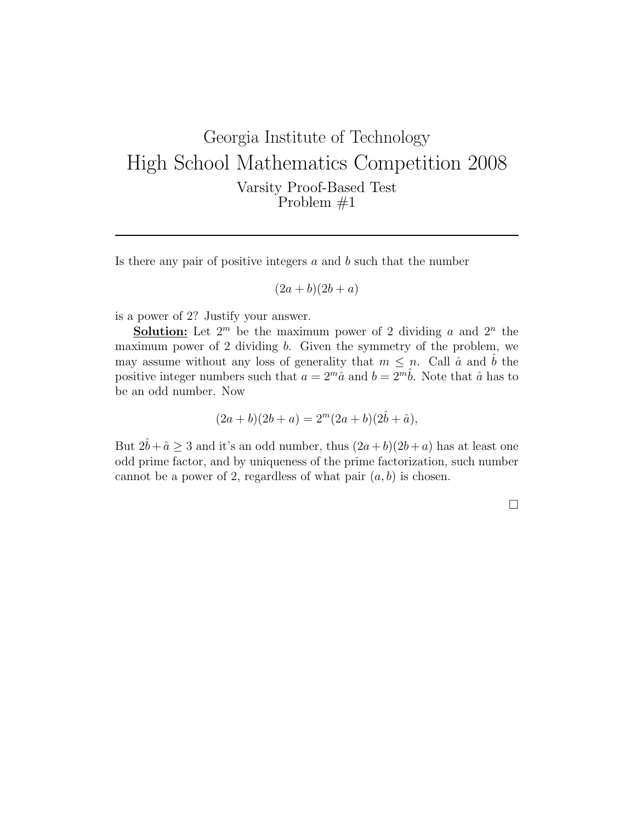Is there any pair of positive integers  $a$  and  $b$  such that the number

$$
(2a+b)(2b+a)
$$

is a power of 2? Justify your answer.

**Solution:** Let  $2^m$  be the maximum power of 2 dividing a and  $2^n$  the maximum power of 2 dividing b. Given the symmetry of the problem, we may assume without any loss of generality that  $m \leq n$ . Call  $\hat{a}$  and  $\hat{b}$  the positive integer numbers such that  $a = 2^m \hat{a}$  and  $b = 2^m \hat{b}$ . Note that  $\hat{a}$  has to be an odd number. Now

$$
(2a+b)(2b+a) = 2m(2a+b)(2b + \hat{a}),
$$

But  $2\hat{b}+\hat{a}\geq 3$  and it's an odd number, thus  $(2a+b)(2b+a)$  has at least one odd prime factor, and by uniqueness of the prime factorization, such number cannot be a power of 2, regardless of what pair  $(a, b)$  is chosen.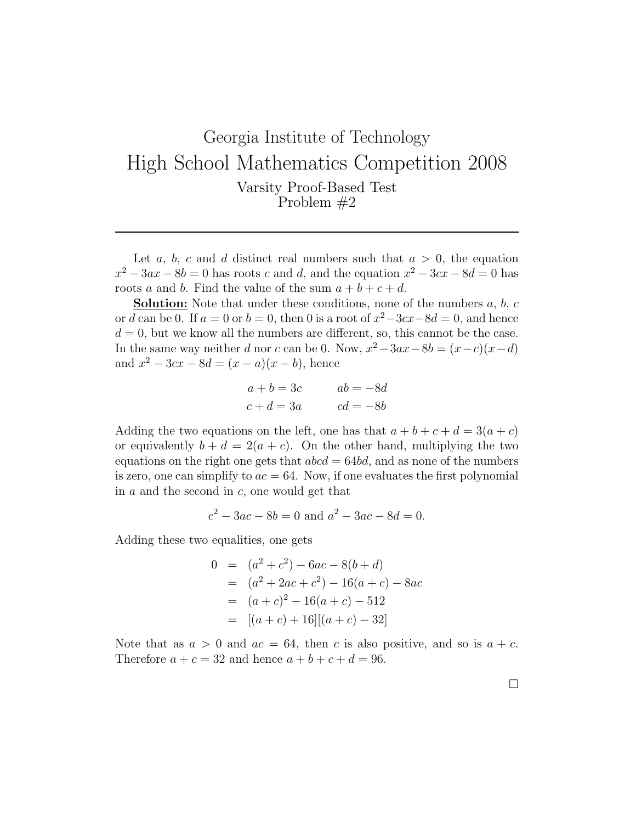Let a, b, c and d distinct real numbers such that  $a > 0$ , the equation  $x^2 - 3ax - 8b = 0$  has roots c and d, and the equation  $x^2 - 3cx - 8d = 0$  has roots a and b. Find the value of the sum  $a + b + c + d$ .

**Solution:** Note that under these conditions, none of the numbers  $a, b, c$ or d can be 0. If  $a = 0$  or  $b = 0$ , then 0 is a root of  $x^2 - 3cx - 8d = 0$ , and hence  $d = 0$ , but we know all the numbers are different, so, this cannot be the case. In the same way neither d nor c can be 0. Now,  $x^2 - 3ax - 8b = (x - c)(x - d)$ and  $x^2 - 3cx - 8d = (x - a)(x - b)$ , hence

$$
a + b = 3c \qquad ab = -8d
$$
  

$$
c + d = 3a \qquad cd = -8b
$$

Adding the two equations on the left, one has that  $a + b + c + d = 3(a + c)$ or equivalently  $b + d = 2(a + c)$ . On the other hand, multiplying the two equations on the right one gets that  $abcd = 64bd$ , and as none of the numbers is zero, one can simplify to  $ac = 64$ . Now, if one evaluates the first polynomial in  $a$  and the second in  $c$ , one would get that

$$
c^2 - 3ac - 8b = 0
$$
 and  $a^2 - 3ac - 8d = 0$ .

Adding these two equalities, one gets

$$
0 = (a2 + c2) - 6ac - 8(b + d)
$$
  
=  $(a2 + 2ac + c2) - 16(a + c) - 8ac$   
=  $(a + c)2 - 16(a + c) - 512$   
=  $[(a + c) + 16][(a + c) - 32]$ 

Note that as  $a > 0$  and  $ac = 64$ , then c is also positive, and so is  $a + c$ . Therefore  $a + c = 32$  and hence  $a + b + c + d = 96$ .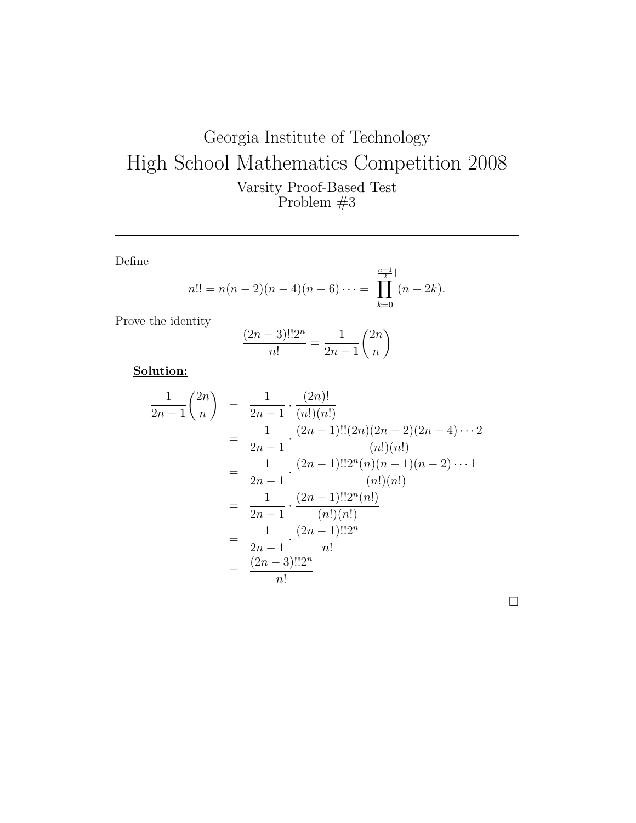Define

$$
n!! = n(n-2)(n-4)(n-6)\cdots = \prod_{k=0}^{\lfloor \frac{n-1}{2} \rfloor} (n-2k).
$$

Prove the identity

$$
\frac{(2n-3)!!2^n}{n!} = \frac{1}{2n-1} \binom{2n}{n}
$$

Solution:

$$
\frac{1}{2n-1} {2n \choose n} = \frac{1}{2n-1} \cdot \frac{(2n)!}{(n!)(n!)}
$$
  
= 
$$
\frac{1}{2n-1} \cdot \frac{(2n-1)!!(2n)(2n-2)(2n-4)\cdots 2}{(n!)(n!)}
$$
  
= 
$$
\frac{1}{2n-1} \cdot \frac{(2n-1)!!2^n(n)(n-1)(n-2)\cdots 1}{(n!)(n!)}
$$
  
= 
$$
\frac{1}{2n-1} \cdot \frac{(2n-1)!!2^n(n!)}{(n!)(n!)}
$$
  
= 
$$
\frac{1}{2n-1} \cdot \frac{(2n-1)!!2^n}{n!}
$$
  
= 
$$
\frac{(2n-3)!!2^n}{n!}
$$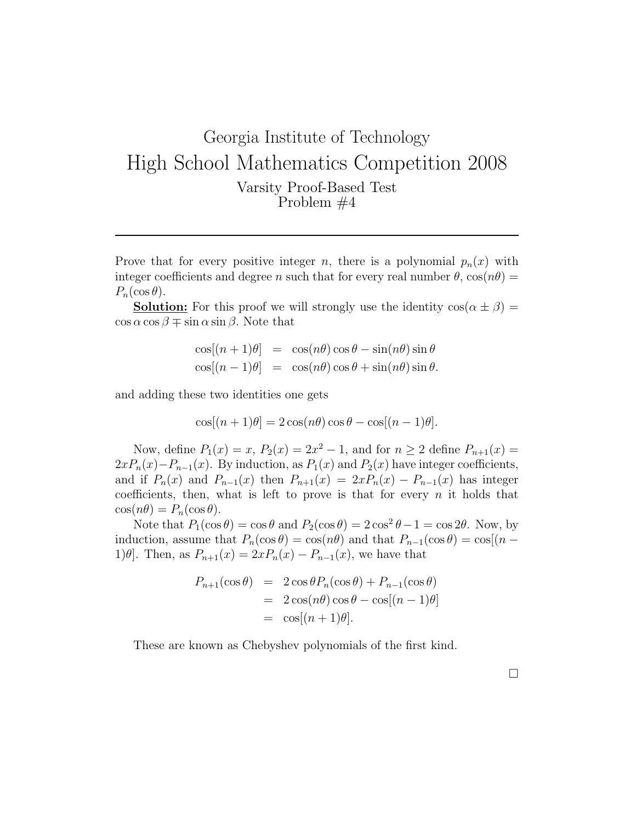Prove that for every positive integer n, there is a polynomial  $p_n(x)$  with integer coefficients and degree n such that for every real number  $\theta$ ,  $\cos(n\theta)$  =  $P_n(\cos\theta).$ 

**Solution:** For this proof we will strongly use the identity  $\cos(\alpha \pm \beta)$  $\cos \alpha \cos \beta \mp \sin \alpha \sin \beta$ . Note that

$$
\cos[(n+1)\theta] = \cos(n\theta)\cos\theta - \sin(n\theta)\sin\theta
$$
  

$$
\cos[(n-1)\theta] = \cos(n\theta)\cos\theta + \sin(n\theta)\sin\theta.
$$

and adding these two identities one gets

$$
\cos[(n+1)\theta] = 2\cos(n\theta)\cos\theta - \cos[(n-1)\theta].
$$

Now, define  $P_1(x) = x$ ,  $P_2(x) = 2x^2 - 1$ , and for  $n \ge 2$  define  $P_{n+1}(x) =$  $2xP_n(x)-P_{n-1}(x)$ . By induction, as  $P_1(x)$  and  $P_2(x)$  have integer coefficients, and if  $P_n(x)$  and  $P_{n-1}(x)$  then  $P_{n+1}(x) = 2xP_n(x) - P_{n-1}(x)$  has integer coefficients, then, what is left to prove is that for every  $n$  it holds that  $\cos(n\theta) = P_n(\cos\theta).$ 

Note that  $P_1(\cos \theta) = \cos \theta$  and  $P_2(\cos \theta) = 2 \cos^2 \theta - 1 = \cos 2\theta$ . Now, by induction, assume that  $P_n(\cos \theta) = \cos(n\theta)$  and that  $P_{n-1}(\cos \theta) = \cos[(n - \theta)]$ 1) $\theta$ . Then, as  $P_{n+1}(x) = 2xP_n(x) - P_{n-1}(x)$ , we have that

$$
P_{n+1}(\cos \theta) = 2 \cos \theta P_n(\cos \theta) + P_{n-1}(\cos \theta)
$$
  
= 2 cos(n\theta) cos \theta - cos[(n - 1)\theta]  
= cos[(n + 1)\theta].

These are known as Chebyshev polynomials of the first kind.